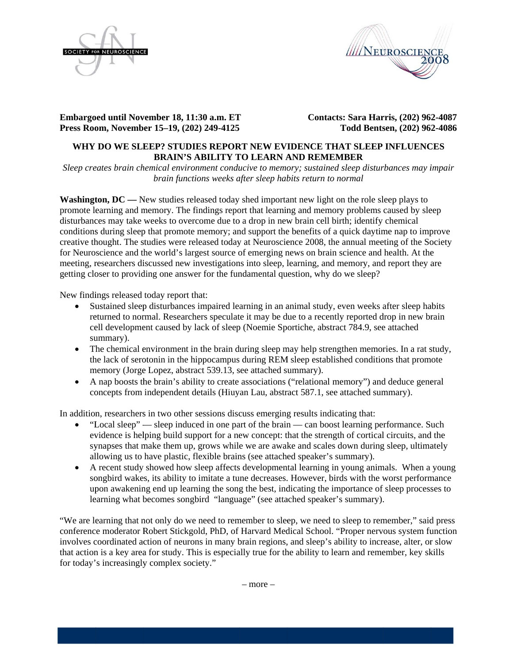



**Embargoed until November 18, 11:30 a.m. ET Press Roo om, Novemb er 15–19, (20 02) 249-4125** 

**Contacts: Sara Harris, (202) 962-4087 Todd Bents sen, (202) 96 2-4086** 

# WHY DO WE SLEEP? STUDIES REPORT NEW EVIDENCE THAT SLEEP INFLUENCES **BRAIN'S ABILITY TO LEARN AND REMEMBER**

*Sleep creates brain chemical environment conducive to memory; sustained sleep disturbances may impair brain functions weeks after sleep habits return to normal* 

**Washington,**  $DC$  **— New studies released today shed important new light on the role sleep plays to** promote learning and memory. The findings report that learning and memory problems caused by sleep disturbances may take weeks to overcome due to a drop in new brain cell birth; identify chemical conditions during sleep that promote memory; and support the benefits of a quick daytime nap to improve creative thought. The studies were released today at Neuroscience 2008, the annual meeting of the Society for Neuroscience and the world's largest source of emerging news on brain science and health. At the for Neuroscience and the world's largest source of emerging news on brain science and health. At the meeting, researchers discussed new investigations into sleep, learning, and memory, and report they are getting closer to providing one answer for the fundamental question, why do we sleep?

New findings released today report that:

- Sustained sleep disturbances impaired learning in an animal study, even weeks after sleep habits returned to normal. Researchers speculate it may be due to a recently reported drop in new brain cell development caused by lack of sleep (Noemie Sportiche, abstract 784.9, see attached summary).
- The chemical environment in the brain during sleep may help strengthen memories. In a rat study, the lack of serotonin in the hippocampus during REM sleep established conditions that promote memory (Jorge Lopez, abstract 539.13, see attached summary).
- A nap boosts the brain's ability to create associations ("relational memory") and deduce general concepts from independent details (Hiuyan Lau, abstract 587.1, see attached summary).

In addition, researchers in two other sessions discuss emerging results indicating that:

- "Local sleep" sleep induced in one part of the brain can boost learning performance. Such evidence is helping build support for a new concept: that the strength of cortical circuits, and the synapses that make them up, grows while we are awake and scales down during sleep, ultimately allowing us to have plastic, flexible brains (see attached speaker's summary).
- A recent study showed how sleep affects developmental learning in young animals. When a young songbird wakes, its ability to imitate a tune decreases. However, birds with the worst performance upon awakening end up learning the song the best, indicating the importance of sleep processes to learning what becomes songbird "language" (see attached speaker's summary).

"We are learning that not only do we need to remember to sleep, we need to sleep to remember," said press conference moderator Robert Stickgold, PhD, of Harvard Medical School. "Proper nervous system function involves coordinated action of neurons in many brain regions, and sleep's ability to increase, alter, or slow that action is a key area for study. This is especially true for the ability to learn and remember, key skills for today's increasingly complex society."

 $=$  more  $=$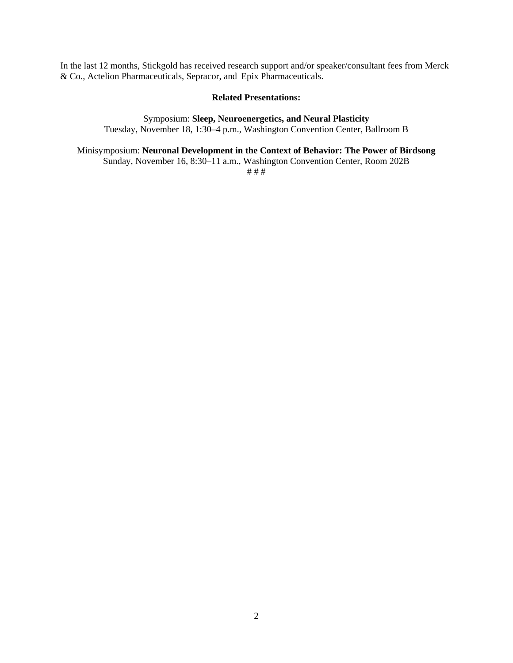In the last 12 months, Stickgold has received research support and/or speaker/consultant fees from Merck & Co., Actelion Pharmaceuticals, Sepracor, and Epix Pharmaceuticals.

#### **Related Presentations:**

Symposium: **Sleep, Neuroenergetics, and Neural Plasticity**  Tuesday, November 18, 1:30–4 p.m., Washington Convention Center, Ballroom B

# Minisymposium: **Neuronal Development in the Context of Behavior: The Power of Birdsong**

Sunday, November 16, 8:30–11 a.m., Washington Convention Center, Room 202B

# # #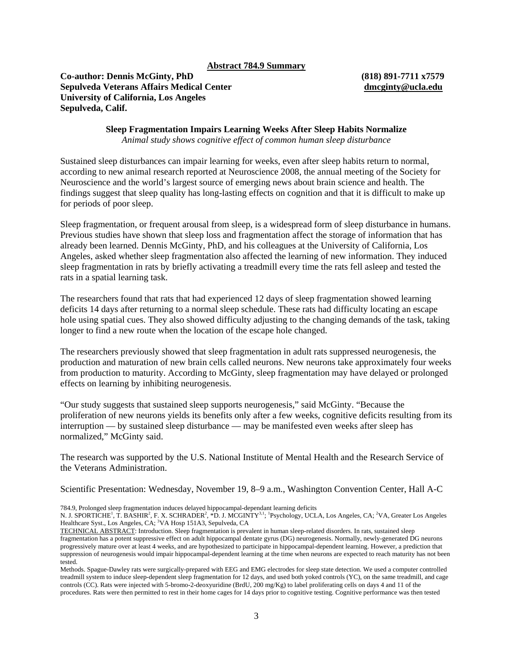#### **Abstract 784.9 Summary**

# **Co-author: Dennis McGinty, PhD (818) 891-7711 x7579 Sepulveda Veterans Affairs Medical Center [dmcginty@ucla.edu](mailto:dmcginty@ucla.edu) University of California, Los Angeles Sepulveda, Calif.**

**Sleep Fragmentation Impairs Learning Weeks After Sleep Habits Normalize**  *Animal study shows cognitive effect of common human sleep disturbance* 

Sustained sleep disturbances can impair learning for weeks, even after sleep habits return to normal, according to new animal research reported at Neuroscience 2008, the annual meeting of the Society for Neuroscience and the world's largest source of emerging news about brain science and health. The findings suggest that sleep quality has long-lasting effects on cognition and that it is difficult to make up for periods of poor sleep.

Sleep fragmentation, or frequent arousal from sleep, is a widespread form of sleep disturbance in humans. Previous studies have shown that sleep loss and fragmentation affect the storage of information that has already been learned. Dennis McGinty, PhD, and his colleagues at the University of California, Los Angeles, asked whether sleep fragmentation also affected the learning of new information. They induced sleep fragmentation in rats by briefly activating a treadmill every time the rats fell asleep and tested the rats in a spatial learning task.

The researchers found that rats that had experienced 12 days of sleep fragmentation showed learning deficits 14 days after returning to a normal sleep schedule. These rats had difficulty locating an escape hole using spatial cues. They also showed difficulty adjusting to the changing demands of the task, taking longer to find a new route when the location of the escape hole changed.

The researchers previously showed that sleep fragmentation in adult rats suppressed neurogenesis, the production and maturation of new brain cells called neurons. New neurons take approximately four weeks from production to maturity. According to McGinty, sleep fragmentation may have delayed or prolonged effects on learning by inhibiting neurogenesis.

"Our study suggests that sustained sleep supports neurogenesis," said McGinty. "Because the proliferation of new neurons yields its benefits only after a few weeks, cognitive deficits resulting from its interruption — by sustained sleep disturbance — may be manifested even weeks after sleep has normalized," McGinty said.

The research was supported by the U.S. National Institute of Mental Health and the Research Service of the Veterans Administration.

Scientific Presentation: Wednesday, November 19, 8–9 a.m., Washington Convention Center, Hall A-C

784.9, Prolonged sleep fragmentation induces delayed hippocampal-dependant learning deficits

N. J. SPORTICHE<sup>1</sup>, T. BASHIR<sup>2</sup>, F. X. SCHRADER<sup>2</sup>, \*D. J. MCGINTY<sup>3,1</sup>; <sup>1</sup>Psychology, UCLA, Los Angeles, CA; <sup>2</sup>VA, Greater Los Angeles Healthcare Syst., Los Angeles, CA; <sup>3</sup>VA Hosp 151A3, Sepulveda, CA

TECHNICAL ABSTRACT: Introduction. Sleep fragmentation is prevalent in human sleep-related disorders. In rats, sustained sleep fragmentation has a potent suppressive effect on adult hippocampal dentate gyrus (DG) neurogenesis. Normally, newly-generated DG neurons progressively mature over at least 4 weeks, and are hypothesized to participate in hippocampal-dependent learning. However, a prediction that suppression of neurogenesis would impair hippocampal-dependent learning at the time when neurons are expected to reach maturity has not been tested.

Methods. Spague-Dawley rats were surgically-prepared with EEG and EMG electrodes for sleep state detection. We used a computer controlled treadmill system to induce sleep-dependent sleep fragmentation for 12 days, and used both yoked controls (YC), on the same treadmill, and cage controls (CC). Rats were injected with 5-bromo-2-deoxyuridine (BrdU, 200 mg/Kg) to label proliferating cells on days 4 and 11 of the procedures. Rats were then permitted to rest in their home cages for 14 days prior to cognitive testing. Cognitive performance was then tested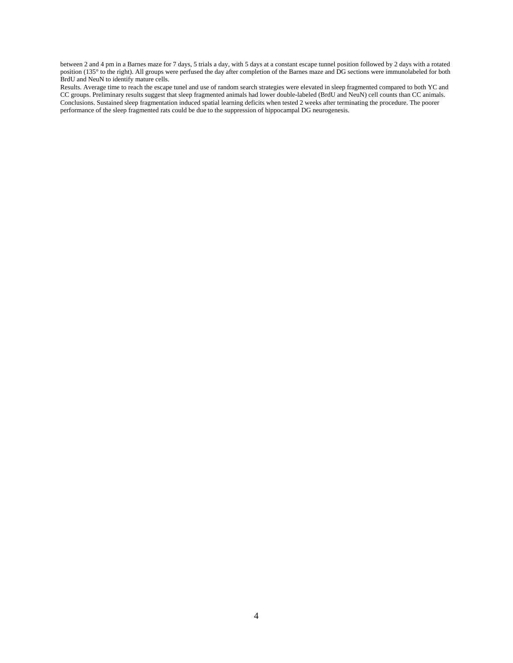between 2 and 4 pm in a Barnes maze for 7 days, 5 trials a day, with 5 days at a constant escape tunnel position followed by 2 days with a rotated position (135° to the right). All groups were perfused the day after completion of the Barnes maze and DG sections were immunolabeled for both BrdU and NeuN to identify mature cells.

Results. Average time to reach the escape tunel and use of random search strategies were elevated in sleep fragmented compared to both YC and CC groups. Preliminary results suggest that sleep fragmented animals had lower double-labeled (BrdU and NeuN) cell counts than CC animals. Conclusions. Sustained sleep fragmentation induced spatial learning deficits when tested 2 weeks after terminating the procedure. The poorer performance of the sleep fragmented rats could be due to the suppression of hippocampal DG neurogenesis.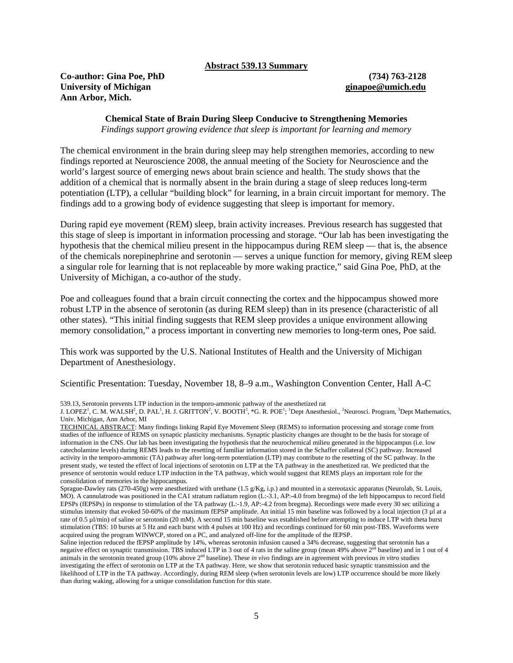**Abstract 539.13 Summary**

**Co-author: Gina Poe, PhD (734) 763-2128 University of Michigan [ginapoe@umich.edu](mailto:ginapoe@umich.edu) Ann Arbor, Mich.** 

# **Chemical State of Brain During Sleep Conducive to Strengthening Memories**

*Findings support growing evidence that sleep is important for learning and memory*

The chemical environment in the brain during sleep may help strengthen memories, according to new findings reported at Neuroscience 2008, the annual meeting of the Society for Neuroscience and the world's largest source of emerging news about brain science and health. The study shows that the addition of a chemical that is normally absent in the brain during a stage of sleep reduces long-term potentiation (LTP), a cellular "building block" for learning, in a brain circuit important for memory. The findings add to a growing body of evidence suggesting that sleep is important for memory.

During rapid eye movement (REM) sleep, brain activity increases. Previous research has suggested that this stage of sleep is important in information processing and storage. "Our lab has been investigating the hypothesis that the chemical milieu present in the hippocampus during REM sleep — that is, the absence of the chemicals norepinephrine and serotonin — serves a unique function for memory, giving REM sleep a singular role for learning that is not replaceable by more waking practice," said Gina Poe, PhD, at the University of Michigan, a co-author of the study.

Poe and colleagues found that a brain circuit connecting the cortex and the hippocampus showed more robust LTP in the absence of serotonin (as during REM sleep) than in its presence (characteristic of all other states). "This initial finding suggests that REM sleep provides a unique environment allowing memory consolidation," a process important in converting new memories to long-term ones, Poe said.

This work was supported by the U.S. National Institutes of Health and the University of Michigan Department of Anesthesiology.

Scientific Presentation: Tuesday, November 18, 8–9 a.m., Washington Convention Center, Hall A-C

539.13, Serotonin prevents LTP induction in the temporo-ammonic pathway of the anesthetized rat

J. LOPEZ<sup>1</sup>, C. M. WALSH<sup>2</sup>, D. PAL<sup>1</sup>, H. J. GRITTON<sup>2</sup>, V. BOOTH<sup>3</sup>, \*G. R. POE<sup>1</sup>; <sup>1</sup>Dept Anesthesiol., <sup>2</sup>Neurosci. Program, <sup>3</sup>Dept Mathematics, Univ. Michigan, Ann Arbor, MI

TECHNICAL ABSTRACT: Many findings linking Rapid Eye Movement Sleep (REMS) to information processing and storage come from studies of the influence of REMS on synaptic plasticity mechanisms. Synaptic plasticity changes are thought to be the basis for storage of information in the CNS. Our lab has been investigating the hypothesis that the neurochemical milieu generated in the hippocampus (i.e. low catecholamine levels) during REMS leads to the resetting of familiar information stored in the Schaffer collateral (SC) pathway. Increased activity in the temporo-ammonic (TA) pathway after long-term potentiation (LTP) may contribute to the resetting of the SC pathway. In the present study, we tested the effect of local injections of serotonin on LTP at the TA pathway in the anesthetized rat. We predicted that the presence of serotonin would reduce LTP induction in the TA pathway, which would suggest that REMS plays an important role for the consolidation of memories in the hippocampus.

Sprague-Dawley rats (270-450g) were anesthetized with urethane (1.5 g/Kg, i.p.) and mounted in a stereotaxic apparatus (Neurolab, St. Louis, MO). A cannulatrode was positioned in the CA1 stratum radiatum region (L:-3.1, AP:-4.0 from bregma) of the left hippocampus to record field EPSPs (fEPSPs) in response to stimulation of the TA pathway (L:-1.9, AP:-4.2 from bregma). Recordings were made every 30 sec utilizing a stimulus intensity that evoked 50-60% of the maximum fEPSP amplitude. An initial 15 min baseline was followed by a local injection (3 µl at a rate of 0.5 µl/min) of saline or serotonin (20 mM). A second 15 min baseline was established before attempting to induce LTP with theta burst stimulation (TBS: 10 bursts at 5 Hz and each burst with 4 pulses at 100 Hz) and recordings continued for 60 min post-TBS. Waveforms were acquired using the program WINWCP, stored on a PC, and analyzed off-line for the amplitude of the fEPSP.

Saline injection reduced the fEPSP amplitude by 14%, whereas serotonin infusion caused a 34% decrease, suggesting that serotonin has a negative effect on synaptic transmission. TBS induced LTP in 3 out of 4 rats in the saline group (mean 49% above 2<sup>nd</sup> baseline) and in 1 out of 4 animals in the serotonin treated group (10% above 2nd baseline). These *in vivo* findings are in agreement with previous *in vitro* studies investigating the effect of serotonin on LTP at the TA pathway. Here, we show that serotonin reduced basic synaptic transmission and the likelihood of LTP in the TA pathway. Accordingly, during REM sleep (when serotonin levels are low) LTP occurrence should be more likely than during waking, allowing for a unique consolidation function for this state.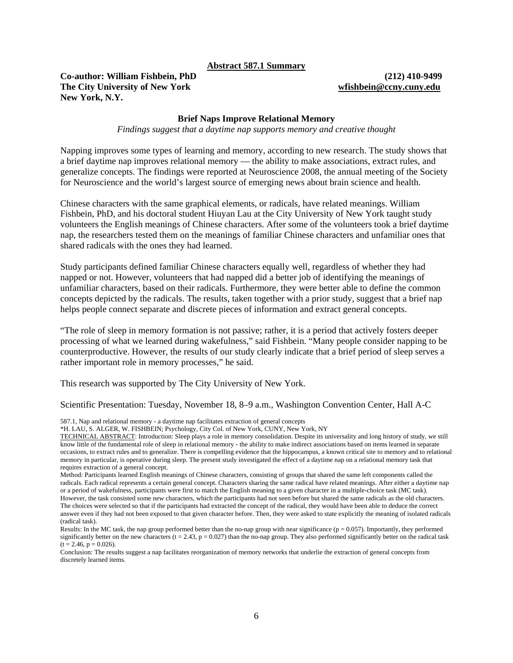#### **Abstract 587.1 Summary**

**Co-author: William Fishbein, PhD (212) 410-9499 The City University of New York [wfishbein@ccny.cuny.edu](mailto:wfishbein@ccny.cuny.edu) New York, N.Y.** 

#### **Brief Naps Improve Relational Memory**

*Findings suggest that a daytime nap supports memory and creative thought* 

Napping improves some types of learning and memory, according to new research. The study shows that a brief daytime nap improves relational memory — the ability to make associations, extract rules, and generalize concepts. The findings were reported at Neuroscience 2008, the annual meeting of the Society for Neuroscience and the world's largest source of emerging news about brain science and health.

Chinese characters with the same graphical elements, or radicals, have related meanings. William Fishbein, PhD, and his doctoral student Hiuyan Lau at the City University of New York taught study volunteers the English meanings of Chinese characters. After some of the volunteers took a brief daytime nap, the researchers tested them on the meanings of familiar Chinese characters and unfamiliar ones that shared radicals with the ones they had learned.

Study participants defined familiar Chinese characters equally well, regardless of whether they had napped or not. However, volunteers that had napped did a better job of identifying the meanings of unfamiliar characters, based on their radicals. Furthermore, they were better able to define the common concepts depicted by the radicals. The results, taken together with a prior study, suggest that a brief nap helps people connect separate and discrete pieces of information and extract general concepts.

"The role of sleep in memory formation is not passive; rather, it is a period that actively fosters deeper processing of what we learned during wakefulness," said Fishbein. "Many people consider napping to be counterproductive. However, the results of our study clearly indicate that a brief period of sleep serves a rather important role in memory processes," he said.

This research was supported by The City University of New York.

Scientific Presentation: Tuesday, November 18, 8–9 a.m., Washington Convention Center, Hall A-C

587.1, Nap and relational memory - a daytime nap facilitates extraction of general concepts

\*H. LAU, S. ALGER, W. FISHBEIN; Psychology, City Col. of New York, CUNY, New York, NY

Method: Participants learned English meanings of Chinese characters, consisting of groups that shared the same left components called the radicals. Each radical represents a certain general concept. Characters sharing the same radical have related meanings. After either a daytime nap or a period of wakefulness, participants were first to match the English meaning to a given character in a multiple-choice task (MC task). However, the task consisted some new characters, which the participants had not seen before but shared the same radicals as the old characters. The choices were selected so that if the participants had extracted the concept of the radical, they would have been able to deduce the correct answer even if they had not been exposed to that given character before. Then, they were asked to state explicitly the meaning of isolated radicals (radical task).

Conclusion: The results suggest a nap facilitates reorganization of memory networks that underlie the extraction of general concepts from discretely learned items.

TECHNICAL ABSTRACT: Introduction: Sleep plays a role in memory consolidation. Despite its universality and long history of study, we still know little of the fundamental role of sleep in relational memory - the ability to make indirect associations based on items learned in separate occasions, to extract rules and to generalize. There is compelling evidence that the hippocampus, a known critical site to memory and to relational memory in particular, is operative during sleep. The present study investigated the effect of a daytime nap on a relational memory task that requires extraction of a general concept.

Results: In the MC task, the nap group performed better than the no-nap group with near significance ( $p = 0.057$ ). Importantly, they performed significantly better on the new characters  $(t = 2.43, p = 0.027)$  than the no-nap group. They also performed significantly better on the radical task  $(t = 2.46, p = 0.026).$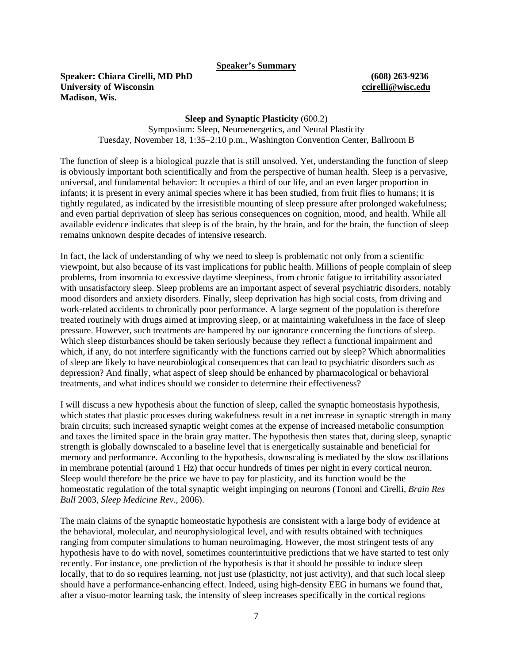**Speaker's Summary**

**Speaker: Chiara Cirelli, MD PhD (608) 263-9236 University of Wisconsin [ccirelli@wisc.edu](mailto:ccirelli@wisc.edu)  Madison, Wis.** 

### **Sleep and Synaptic Plasticity** (600.2)

Symposium: Sleep, Neuroenergetics, and Neural Plasticity Tuesday, November 18, 1:35–2:10 p.m., Washington Convention Center, Ballroom B

The function of sleep is a biological puzzle that is still unsolved. Yet, understanding the function of sleep is obviously important both scientifically and from the perspective of human health. Sleep is a pervasive, universal, and fundamental behavior: It occupies a third of our life, and an even larger proportion in infants; it is present in every animal species where it has been studied, from fruit flies to humans; it is tightly regulated, as indicated by the irresistible mounting of sleep pressure after prolonged wakefulness; and even partial deprivation of sleep has serious consequences on cognition, mood, and health. While all available evidence indicates that sleep is of the brain, by the brain, and for the brain, the function of sleep remains unknown despite decades of intensive research.

In fact, the lack of understanding of why we need to sleep is problematic not only from a scientific viewpoint, but also because of its vast implications for public health. Millions of people complain of sleep problems, from insomnia to excessive daytime sleepiness, from chronic fatigue to irritability associated with unsatisfactory sleep. Sleep problems are an important aspect of several psychiatric disorders, notably mood disorders and anxiety disorders. Finally, sleep deprivation has high social costs, from driving and work-related accidents to chronically poor performance. A large segment of the population is therefore treated routinely with drugs aimed at improving sleep, or at maintaining wakefulness in the face of sleep pressure. However, such treatments are hampered by our ignorance concerning the functions of sleep. Which sleep disturbances should be taken seriously because they reflect a functional impairment and which, if any, do not interfere significantly with the functions carried out by sleep? Which abnormalities of sleep are likely to have neurobiological consequences that can lead to psychiatric disorders such as depression? And finally, what aspect of sleep should be enhanced by pharmacological or behavioral treatments, and what indices should we consider to determine their effectiveness?

I will discuss a new hypothesis about the function of sleep, called the synaptic homeostasis hypothesis, which states that plastic processes during wakefulness result in a net increase in synaptic strength in many brain circuits; such increased synaptic weight comes at the expense of increased metabolic consumption and taxes the limited space in the brain gray matter. The hypothesis then states that, during sleep, synaptic strength is globally downscaled to a baseline level that is energetically sustainable and beneficial for memory and performance. According to the hypothesis, downscaling is mediated by the slow oscillations in membrane potential (around 1 Hz) that occur hundreds of times per night in every cortical neuron. Sleep would therefore be the price we have to pay for plasticity, and its function would be the homeostatic regulation of the total synaptic weight impinging on neurons (Tononi and Cirelli, *Brain Res Bull* 2003, *Sleep Medicine Rev*., 2006).

The main claims of the synaptic homeostatic hypothesis are consistent with a large body of evidence at the behavioral, molecular, and neurophysiological level, and with results obtained with techniques ranging from computer simulations to human neuroimaging. However, the most stringent tests of any hypothesis have to do with novel, sometimes counterintuitive predictions that we have started to test only recently. For instance, one prediction of the hypothesis is that it should be possible to induce sleep locally, that to do so requires learning, not just use (plasticity, not just activity), and that such local sleep should have a performance-enhancing effect. Indeed, using high-density EEG in humans we found that, after a visuo-motor learning task, the intensity of sleep increases specifically in the cortical regions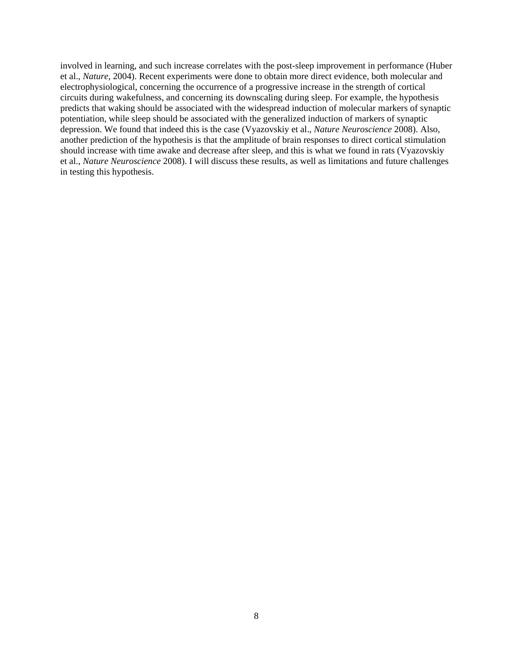involved in learning, and such increase correlates with the post-sleep improvement in performance (Huber et al., *Nature*, 2004). Recent experiments were done to obtain more direct evidence, both molecular and electrophysiological, concerning the occurrence of a progressive increase in the strength of cortical circuits during wakefulness, and concerning its downscaling during sleep. For example, the hypothesis predicts that waking should be associated with the widespread induction of molecular markers of synaptic potentiation, while sleep should be associated with the generalized induction of markers of synaptic depression. We found that indeed this is the case (Vyazovskiy et al., *Nature Neuroscience* 2008). Also, another prediction of the hypothesis is that the amplitude of brain responses to direct cortical stimulation should increase with time awake and decrease after sleep, and this is what we found in rats (Vyazovskiy et al., *Nature Neuroscience* 2008). I will discuss these results, as well as limitations and future challenges in testing this hypothesis.